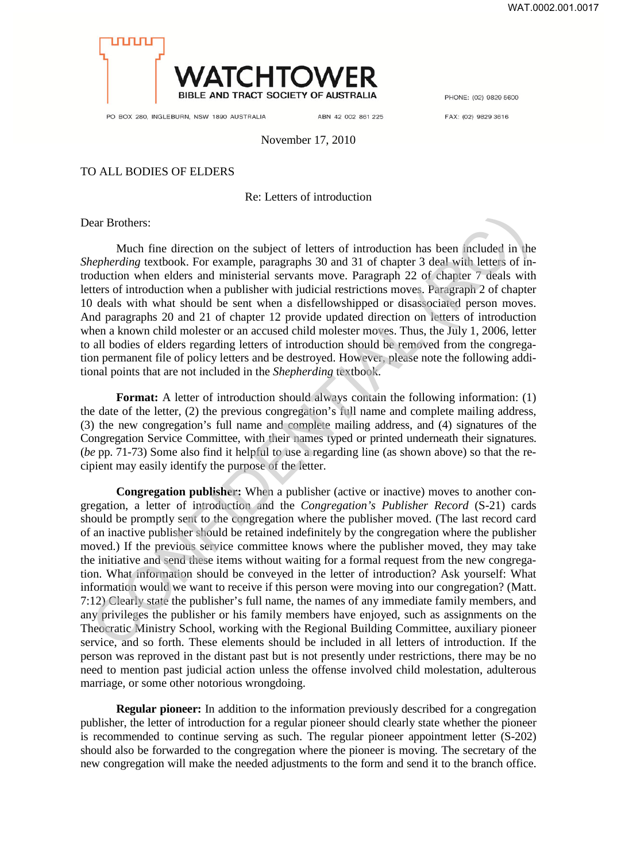

PO BOX 280, INGLEBURN, NSW 1890 AUSTRALIA

ABN 42 002 861 225

PHONE: (02) 9829 5600

FAX: (02) 9829 3616

November 17, 2010

## TO ALL BODIES OF ELDERS

## Re: Letters of introduction

Dear Brothers:

Much fine direction on the subject of letters of introduction has been included in the *Shepherding* textbook. For example, paragraphs 30 and 31 of chapter 3 deal with letters of introduction when elders and ministerial servants move. Paragraph 22 of chapter 7 deals with letters of introduction when a publisher with judicial restrictions moves. Paragraph 2 of chapter 10 deals with what should be sent when a disfellowshipped or disassociated person moves. And paragraphs 20 and 21 of chapter 12 provide updated direction on letters of introduction when a known child molester or an accused child molester moves. Thus, the July 1, 2006, letter to all bodies of elders regarding letters of introduction should be removed from the congregation permanent file of policy letters and be destroyed. However, please note the following additional points that are not included in the *Shepherding* textbook.

**Format:** A letter of introduction should always contain the following information: (1) the date of the letter, (2) the previous congregation's full name and complete mailing address, (3) the new congregation's full name and complete mailing address, and (4) signatures of the Congregation Service Committee, with their names typed or printed underneath their signatures. (*be* pp. 71-73) Some also find it helpful to use a regarding line (as shown above) so that the recipient may easily identify the purpose of the letter.

**Congregation publisher:** When a publisher (active or inactive) moves to another congregation, a letter of introduction and the *Congregation's Publisher Record* (S-21) cards should be promptly sent to the congregation where the publisher moved. (The last record card of an inactive publisher should be retained indefinitely by the congregation where the publisher moved.) If the previous service committee knows where the publisher moved, they may take the initiative and send these items without waiting for a formal request from the new congregation. What information should be conveyed in the letter of introduction? Ask yourself: What information would we want to receive if this person were moving into our congregation? (Matt. 7:12) Clearly state the publisher's full name, the names of any immediate family members, and any privileges the publisher or his family members have enjoyed, such as assignments on the Theocratic Ministry School, working with the Regional Building Committee, auxiliary pioneer service, and so forth. These elements should be included in all letters of introduction. If the person was reproved in the distant past but is not presently under restrictions, there may be no need to mention past judicial action unless the offense involved child molestation, adulterous marriage, or some other notorious wrongdoing. ear Brothers:<br>
Much fine direction on the subject of letters of introduction has been included in the<br> *inepherding* textbook. For example, paragraphs 30 and 31 of chapter 3 dead with letters of introduction<br>
when elders

**Regular pioneer:** In addition to the information previously described for a congregation publisher, the letter of introduction for a regular pioneer should clearly state whether the pioneer is recommended to continue serving as such. The regular pioneer appointment letter (S-202) should also be forwarded to the congregation where the pioneer is moving. The secretary of the new congregation will make the needed adjustments to the form and send it to the branch office.